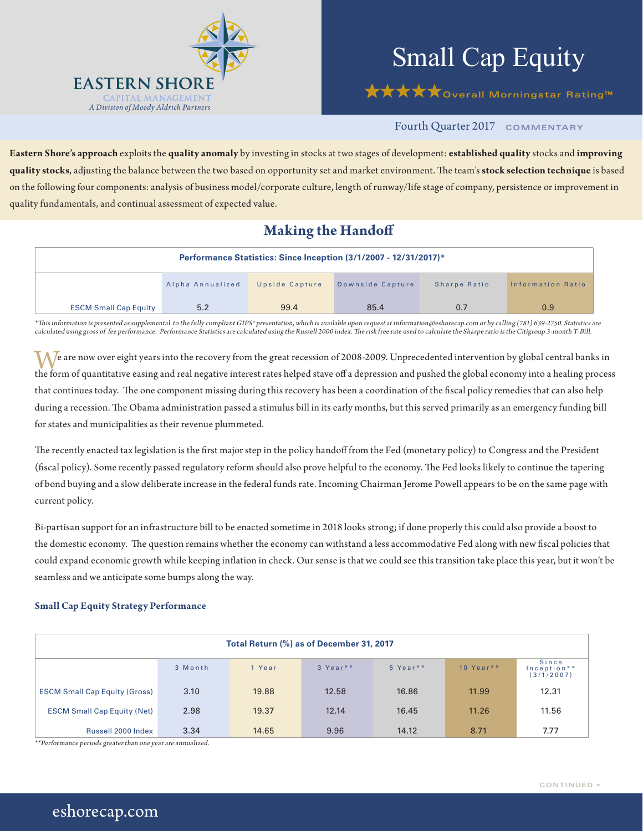

# Small Cap Equity

**★★★★**overall Morningstar Rating™

## Fourth Quarter 2017 **COMMENTARY**

**Eastern Shore's approach** exploits the **quality anomaly** by investing in stocks at two stages of development: **established quality** stocks and **improving quality stocks**, adjusting the balance between the two based on opportunity set and market environment. The team's **stock selection technique** is based on the following four components: analysis of business model/corporate culture, length of runway/life stage of company, persistence or improvement in quality fundamentals, and continual assessment of expected value.

## **Making the Handoff**

|                              |                  |                | Performance Statistics: Since Inception (3/1/2007 - 12/31/2017)* |              |                   |
|------------------------------|------------------|----------------|------------------------------------------------------------------|--------------|-------------------|
|                              | Alpha Annualized | Upside Capture | Downside Capture                                                 | Sharpe Ratio | Information Ratio |
| <b>ESCM Small Cap Equity</b> | 5.2              | 99.4           | 85.4                                                             | 0.7          | 0.9               |

\*This information is presented as supplemental to the fully compliant GIPS® presentation, which is available upon request at information@eshorecap.com or by calling (781) 639-2750. Statistics are calculated using gross of fee performance. Performance Statistics are calculated using the Russell 2000 index. The risk free rate used to calculate the Sharpe ratio is the Citigroup 3-month T-Bill.

 $\mathcal M$  e are now over eight years into the recovery from the great recession of 2008-2009. Unprecedented intervention by global central banks in the form of quantitative easing and real negative interest rates helped stave off a depression and pushed the global economy into a healing process that continues today. The one component missing during this recovery has been a coordination of the fiscal policy remedies that can also help during a recession. The Obama administration passed a stimulus bill in its early months, but this served primarily as an emergency funding bill for states and municipalities as their revenue plummeted.

The recently enacted tax legislation is the first major step in the policy handoff from the Fed (monetary policy) to Congress and the President (fiscal policy). Some recently passed regulatory reform should also prove helpful to the economy. The Fed looks likely to continue the tapering of bond buying and a slow deliberate increase in the federal funds rate. Incoming Chairman Jerome Powell appears to be on the same page with current policy.

Bi-partisan support for an infrastructure bill to be enacted sometime in 2018 looks strong; if done properly this could also provide a boost to the domestic economy. The question remains whether the economy can withstand a less accommodative Fed along with new fiscal policies that could expand economic growth while keeping inflation in check. Our sense is that we could see this transition take place this year, but it won't be seamless and we anticipate some bumps along the way.

### **Small Cap Equity Strategy Performance**

| Total Return (%) as of December 31, 2017 |         |        |          |          |               |                                    |
|------------------------------------------|---------|--------|----------|----------|---------------|------------------------------------|
|                                          | 3 Month | 1 Year | 3 Year** | 5 Year** | 10 Year $*$ * | Since<br>Inception**<br>(3/1/2007) |
| <b>ESCM Small Cap Equity (Gross)</b>     | 3.10    | 19.88  | 12.58    | 16.86    | 11.99         | 12.31                              |
| <b>ESCM Small Cap Equity (Net)</b>       | 2.98    | 19.37  | 12.14    | 16.45    | 11.26         | 11.56                              |
| Russell 2000 Index                       | 3.34    | 14.65  | 9.96     | 14.12    | 8.71          | 7.77                               |

\*\*Performance periods greater than one year are annualized.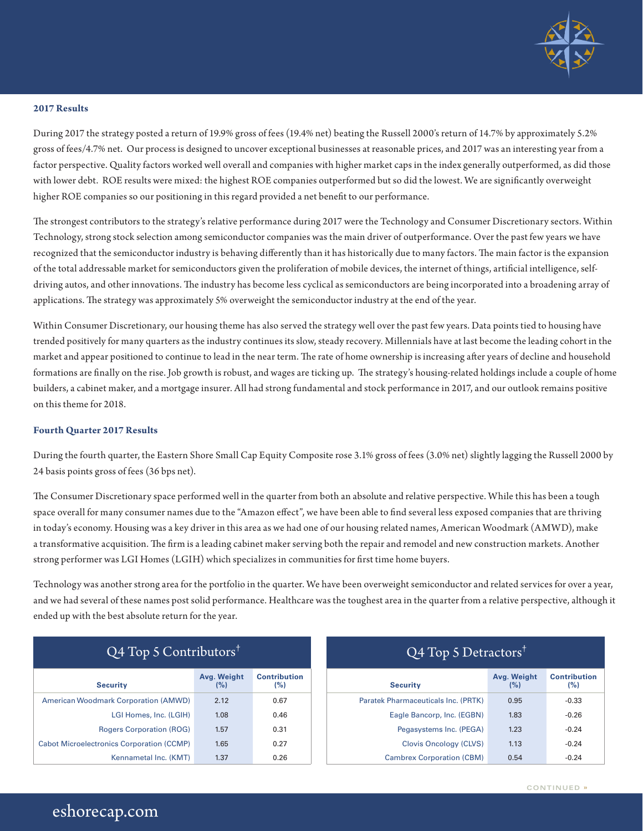

#### **2017 Results**

During 2017 the strategy posted a return of 19.9% gross of fees (19.4% net) beating the Russell 2000's return of 14.7% by approximately 5.2% gross of fees/4.7% net. Our process is designed to uncover exceptional businesses at reasonable prices, and 2017 was an interesting year from a factor perspective. Quality factors worked well overall and companies with higher market caps in the index generally outperformed, as did those with lower debt. ROE results were mixed: the highest ROE companies outperformed but so did the lowest. We are significantly overweight higher ROE companies so our positioning in this regard provided a net benefit to our performance.

The strongest contributors to the strategy's relative performance during 2017 were the Technology and Consumer Discretionary sectors. Within Technology, strong stock selection among semiconductor companies was the main driver of outperformance. Over the past few years we have recognized that the semiconductor industry is behaving differently than it has historically due to many factors. The main factor is the expansion of the total addressable market for semiconductors given the proliferation of mobile devices, the internet of things, artificial intelligence, selfdriving autos, and other innovations. The industry has become less cyclical as semiconductors are being incorporated into a broadening array of applications. The strategy was approximately 5% overweight the semiconductor industry at the end of the year.

Within Consumer Discretionary, our housing theme has also served the strategy well over the past few years. Data points tied to housing have trended positively for many quarters as the industry continues its slow, steady recovery. Millennials have at last become the leading cohort in the market and appear positioned to continue to lead in the near term. The rate of home ownership is increasing after years of decline and household formations are finally on the rise. Job growth is robust, and wages are ticking up. The strategy's housing-related holdings include a couple of home builders, a cabinet maker, and a mortgage insurer. All had strong fundamental and stock performance in 2017, and our outlook remains positive on this theme for 2018.

#### **Fourth Quarter 2017 Results**

During the fourth quarter, the Eastern Shore Small Cap Equity Composite rose 3.1% gross of fees (3.0% net) slightly lagging the Russell 2000 by 24 basis points gross of fees (36 bps net).

The Consumer Discretionary space performed well in the quarter from both an absolute and relative perspective. While this has been a tough space overall for many consumer names due to the "Amazon effect", we have been able to find several less exposed companies that are thriving in today's economy. Housing was a key driver in this area as we had one of our housing related names, American Woodmark (AMWD), make a transformative acquisition. The firm is a leading cabinet maker serving both the repair and remodel and new construction markets. Another strong performer was LGI Homes (LGIH) which specializes in communities for first time home buyers.

Technology was another strong area for the portfolio in the quarter. We have been overweight semiconductor and related services for over a year, and we had several of these names post solid performance. Healthcare was the toughest area in the quarter from a relative perspective, although it ended up with the best absolute return for the year.

| $Q4$ Top 5 Contributors <sup>†</sup>             |                    |                            | $Q4$ Top 5 Detractors <sup>†</sup>  |                  |  |
|--------------------------------------------------|--------------------|----------------------------|-------------------------------------|------------------|--|
| <b>Security</b>                                  | Avg. Weight<br>(%) | <b>Contribution</b><br>(%) | <b>Security</b>                     | Avg. Weig<br>(%) |  |
| <b>American Woodmark Corporation (AMWD)</b>      | 2.12               | 0.67                       | Paratek Pharmaceuticals Inc. (PRTK) | 0.95             |  |
| LGI Homes, Inc. (LGIH)                           | 1.08               | 0.46                       | Eagle Bancorp, Inc. (EGBN)          | 1.83             |  |
| <b>Rogers Corporation (ROG)</b>                  | 1.57               | 0.31                       | Pegasystems Inc. (PEGA)             | 1.23             |  |
| <b>Cabot Microelectronics Corporation (CCMP)</b> | 1.65               | 0.27                       | <b>Clovis Oncology (CLVS)</b>       | 1.13             |  |
| Kennametal Inc. (KMT)                            | 1.37               | 0.26                       | <b>Cambrex Corporation (CBM)</b>    | 0.54             |  |

| $Q4$ Top 5 Detractors <sup>†</sup>  |                    |                            |  |  |
|-------------------------------------|--------------------|----------------------------|--|--|
| <b>Security</b>                     | Avg. Weight<br>(%) | <b>Contribution</b><br>(%) |  |  |
| Paratek Pharmaceuticals Inc. (PRTK) | 0.95               | $-0.33$                    |  |  |
| Eagle Bancorp, Inc. (EGBN)          | 1.83               | $-0.26$                    |  |  |
| Pegasystems Inc. (PEGA)             | 1.23               | $-0.24$                    |  |  |
| <b>Clovis Oncology (CLVS)</b>       | 1.13               | $-0.24$                    |  |  |
| <b>Cambrex Corporation (CBM)</b>    | 0.54               | $-0.24$                    |  |  |

# eshorecap.com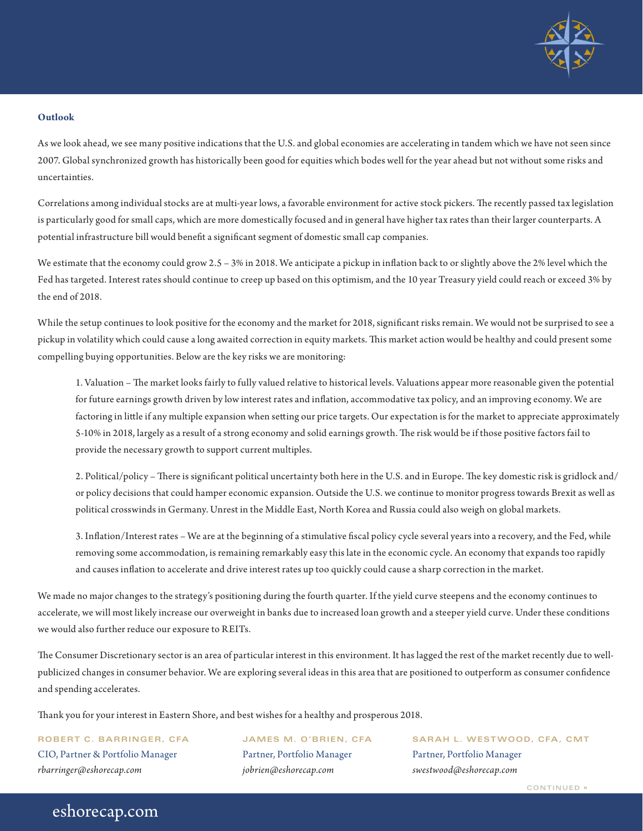

#### **Outlook**

As we look ahead, we see many positive indications that the U.S. and global economies are accelerating in tandem which we have not seen since 2007. Global synchronized growth has historically been good for equities which bodes well for the year ahead but not without some risks and uncertainties.

Correlations among individual stocks are at multi-year lows, a favorable environment for active stock pickers. The recently passed tax legislation is particularly good for small caps, which are more domestically focused and in general have higher tax rates than their larger counterparts. A potential infrastructure bill would benefit a significant segment of domestic small cap companies.

We estimate that the economy could grow 2.5 – 3% in 2018. We anticipate a pickup in inflation back to or slightly above the 2% level which the Fed has targeted. Interest rates should continue to creep up based on this optimism, and the 10 year Treasury yield could reach or exceed 3% by the end of 2018.

While the setup continues to look positive for the economy and the market for 2018, significant risks remain. We would not be surprised to see a pickup in volatility which could cause a long awaited correction in equity markets. This market action would be healthy and could present some compelling buying opportunities. Below are the key risks we are monitoring:

1. Valuation – The market looks fairly to fully valued relative to historical levels. Valuations appear more reasonable given the potential for future earnings growth driven by low interest rates and inflation, accommodative tax policy, and an improving economy. We are factoring in little if any multiple expansion when setting our price targets. Our expectation is for the market to appreciate approximately 5-10% in 2018, largely as a result of a strong economy and solid earnings growth. The risk would be if those positive factors fail to provide the necessary growth to support current multiples.

2. Political/policy – There is significant political uncertainty both here in the U.S. and in Europe. The key domestic risk is gridlock and/ or policy decisions that could hamper economic expansion. Outside the U.S. we continue to monitor progress towards Brexit as well as political crosswinds in Germany. Unrest in the Middle East, North Korea and Russia could also weigh on global markets.

3. Inflation/Interest rates – We are at the beginning of a stimulative fiscal policy cycle several years into a recovery, and the Fed, while removing some accommodation, is remaining remarkably easy this late in the economic cycle. An economy that expands too rapidly and causes inflation to accelerate and drive interest rates up too quickly could cause a sharp correction in the market.

We made no major changes to the strategy's positioning during the fourth quarter. If the yield curve steepens and the economy continues to accelerate, we will most likely increase our overweight in banks due to increased loan growth and a steeper yield curve. Under these conditions we would also further reduce our exposure to REITs.

The Consumer Discretionary sector is an area of particular interest in this environment. It has lagged the rest of the market recently due to wellpublicized changes in consumer behavior. We are exploring several ideas in this area that are positioned to outperform as consumer confidence and spending accelerates.

Thank you for your interest in Eastern Shore, and best wishes for a healthy and prosperous 2018.

CIO, Partner & Portfolio Manager Partner, Portfolio Manager Partner, Portfolio Manager *rbarringer@eshorecap.com jobrien@eshorecap.com swestwood@eshorecap.com*

eshorecap.com

**ROBERT C. BARRINGER, CFA JAMES M. O'BRIEN, CFA SARAH L. WESTWOOD, CFA, CMT**